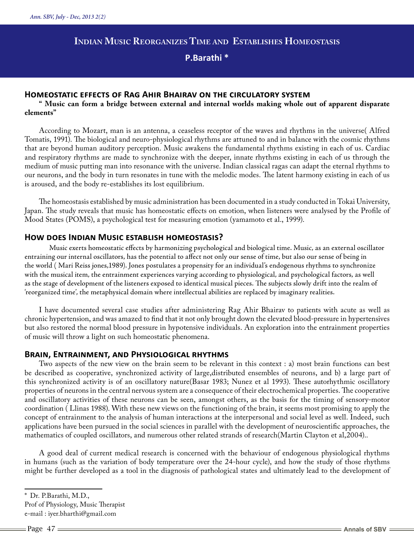# **Indian Music Reorganizes Time and Establishes Homeostasis**

**P.Barathi \***

## **Homeostatic effects of Rag Ahir Bhairav on the circulatory system**

**" Music can form a bridge between external and internal worlds making whole out of apparent disparate elements"**

According to Mozart, man is an antenna, a ceaseless receptor of the waves and rhythms in the universe( Alfred Tomatis, 1991). The biological and neuro-physiological rhythms are attuned to and in balance with the cosmic rhythms that are beyond human auditory perception. Music awakens the fundamental rhythms existing in each of us. Cardiac and respiratory rhythms are made to synchronize with the deeper, innate rhythms existing in each of us through the medium of music putting man into resonance with the universe. Indian classical ragas can adapt the eternal rhythms to our neurons, and the body in turn resonates in tune with the melodic modes. The latent harmony existing in each of us is aroused, and the body re-establishes its lost equilibrium.

The homeostasis established by music administration has been documented in a study conducted in Tokai University, Japan. The study reveals that music has homeostatic effects on emotion, when listeners were analysed by the Profile of Mood States (POMS), a psychological test for measuring emotion (yamamoto et al., 1999).

## **How does Indian Music establish homeostasis?**

Music exerts homeostatic effects by harmonizing psychological and biological time. Music, as an external oscillator entraining our internal oscillators, has the potential to affect not only our sense of time, but also our sense of being in the world ( Mari Reiss jones,1989). Jones postulates a propensity for an individual's endogenous rhythms to synchronize with the musical item, the entrainment experiences varying according to physiological, and psychological factors, as well as the stage of development of the listeners exposed to identical musical pieces. The subjects slowly drift into the realm of 'reorganized time', the metaphysical domain where intellectual abilities are replaced by imaginary realities.

I have documented several case studies after administering Rag Ahir Bhairav to patients with acute as well as chronic hypertension, and was amazed to find that it not only brought down the elevated blood-pressure in hypertensives but also restored the normal blood pressure in hypotensive individuals. An exploration into the entrainment properties of music will throw a light on such homeostatic phenomena.

## **Brain, Entrainment, and Physiological rhythms**

Two aspects of the new view on the brain seem to be relevant in this context : a) most brain functions can best be described as cooperative, synchronized activity of large,distributed ensembles of neurons, and b) a large part of this synchronized activity is of an oscillatory nature(Basar 1983; Nunez et al 1993). These autorhythmic oscillatory properties of neurons in the central nervous system are a consequence of their electrochemical properties. The cooperative and oscillatory activities of these neurons can be seen, amongst others, as the basis for the timing of sensory-motor coordination ( Llinas 1988). With these new views on the functioning of the brain, it seems most promising to apply the concept of entrainment to the analysis of human interactions at the interpersonal and social level as well. Indeed, such applications have been pursued in the social sciences in parallel with the development of neuroscientific approaches, the mathematics of coupled oscillators, and numerous other related strands of research(Martin Clayton et al,2004)..

A good deal of current medical research is concerned with the behaviour of endogenous physiological rhythms in humans (such as the variation of body temperature over the 24-hour cycle), and how the study of those rhythms might be further developed as a tool in the diagnosis of pathological states and ultimately lead to the development of

<sup>\*</sup> Dr. P.Barathi, M.D.,

Prof of Physiology, Music Therapist

e-mail : iyer.bharthi@gmail.com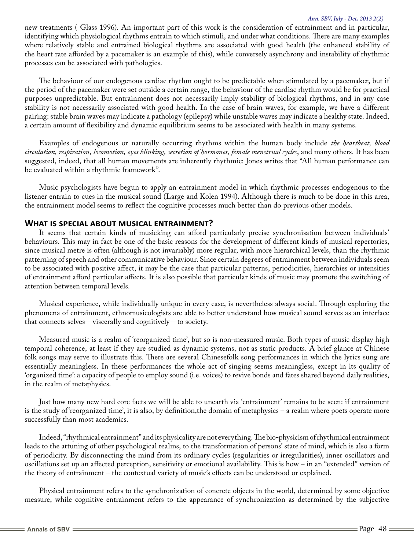#### *Ann. SBV, July - Dec, 2013 2(2)*

new treatments ( Glass 1996). An important part of this work is the consideration of entrainment and in particular, identifying which physiological rhythms entrain to which stimuli, and under what conditions. There are many examples where relatively stable and entrained biological rhythms are associated with good health (the enhanced stability of the heart rate afforded by a pacemaker is an example of this), while conversely asynchrony and instability of rhythmic processes can be associated with pathologies.

The behaviour of our endogenous cardiac rhythm ought to be predictable when stimulated by a pacemaker, but if the period of the pacemaker were set outside a certain range, the behaviour of the cardiac rhythm would be for practical purposes unpredictable. But entrainment does not necessarily imply stability of biological rhythms, and in any case stability is not necessarily associated with good health. In the case of brain waves, for example, we have a different pairing: stable brain waves may indicate a pathology (epilepsy) while unstable waves may indicate a healthy state. Indeed, a certain amount of flexibility and dynamic equilibrium seems to be associated with health in many systems.

Examples of endogenous or naturally occurring rhythms within the human body include *the heartbeat, blood circulation, respiration, locomotion, eyes blinking, secretion of hormones, female menstrual cycles*, and many others. It has been suggested, indeed, that all human movements are inherently rhythmic: Jones writes that "All human performance can be evaluated within a rhythmic framework".

Music psychologists have begun to apply an entrainment model in which rhythmic processes endogenous to the listener entrain to cues in the musical sound (Large and Kolen 1994). Although there is much to be done in this area, the entrainment model seems to reflect the cognitive processes much better than do previous other models.

## **What is special about musical entrainment?**

It seems that certain kinds of musicking can afford particularly precise synchronisation between individuals' behaviours. This may in fact be one of the basic reasons for the development of different kinds of musical repertories, since musical metre is often (although is not invariably) more regular, with more hierarchical levels, than the rhythmic patterning of speech and other communicative behaviour. Since certain degrees of entrainment between individuals seem to be associated with positive affect, it may be the case that particular patterns, periodicities, hierarchies or intensities of entrainment afford particular affects. It is also possible that particular kinds of music may promote the switching of attention between temporal levels.

Musical experience, while individually unique in every case, is nevertheless always social. Through exploring the phenomena of entrainment, ethnomusicologists are able to better understand how musical sound serves as an interface that connects selves—viscerally and cognitively—to society.

Measured music is a realm of 'reorganized time', but so is non-measured music. Both types of music display high temporal coherence, at least if they are studied as dynamic systems, not as static products. A brief glance at Chinese folk songs may serve to illustrate this. There are several Chinesefolk song performances in which the lyrics sung are essentially meaningless. In these performances the whole act of singing seems meaningless, except in its quality of 'organized time': a capacity of people to employ sound (i.e. voices) to revive bonds and fates shared beyond daily realities, in the realm of metaphysics.

Just how many new hard core facts we will be able to unearth via 'entrainment' remains to be seen: if entrainment is the study of'reorganized time', it is also, by definition,the domain of metaphysics – a realm where poets operate more successfully than most academics.

Indeed, "rhythmical entrainment" and its physicality are not everything. The bio-physicism of rhythmical entrainment leads to the attuning of other psychological realms, to the transformation of persons' state of mind, which is also a form of periodicity. By disconnecting the mind from its ordinary cycles (regularities or irregularities), inner oscillators and oscillations set up an affected perception, sensitivity or emotional availability. This is how – in an "extended" version of the theory of entrainment – the contextual variety of music's effects can be understood or explained.

Physical entrainment refers to the synchronization of concrete objects in the world, determined by some objective measure, while cognitive entrainment refers to the appearance of synchronization as determined by the subjective